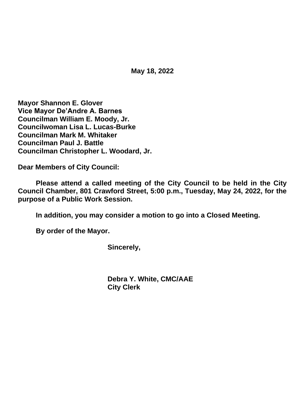**May 18, 2022**

**Mayor Shannon E. Glover Vice Mayor De'Andre A. Barnes Councilman William E. Moody, Jr. Councilwoman Lisa L. Lucas-Burke Councilman Mark M. Whitaker Councilman Paul J. Battle Councilman Christopher L. Woodard, Jr.**

**Dear Members of City Council:**

**Please attend a called meeting of the City Council to be held in the City Council Chamber, 801 Crawford Street, 5:00 p.m., Tuesday, May 24, 2022, for the purpose of a Public Work Session.**

**In addition, you may consider a motion to go into a Closed Meeting.**

**By order of the Mayor.**

**Sincerely,**

**Debra Y. White, CMC/AAE City Clerk**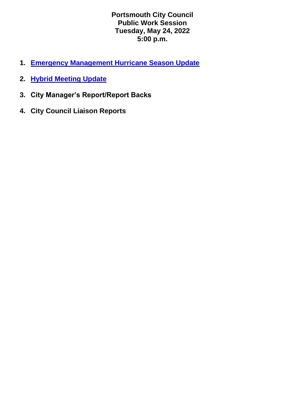**Portsmouth City Council Public Work Session Tuesday, May 24, 2022 5:00 p.m.**

- **1. [Emergency Management Hurricane Season Update](https://www.portsmouthva.gov/DocumentCenter/View/12441/Council-Work-Session-Hurrican-Preparedness-Update-05-24-22-)**
- **2. [Hybrid Meeting Update](https://www.portsmouthva.gov/DocumentCenter/View/12440/Hybrid-Meeting-Report-Back-002)**
- **3. City Manager's Report/Report Backs**
- **4. City Council Liaison Reports**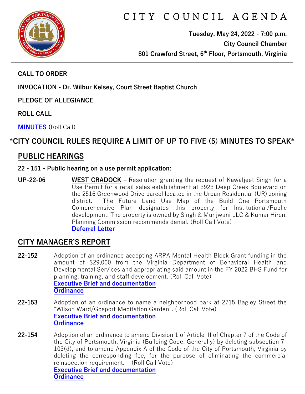

# C I T Y C O U N C I L A G E N D A

**Tuesday, May 24, 2022 - 7:00 p.m. City Council Chamber 801 Crawford Street, 6th Floor, Portsmouth, Virginia**

**CALL TO ORDER**

**INVOCATION - Dr. Wilbur Kelsey, Court Street Baptist Church**

**PLEDGE OF ALLEGIANCE** 

**ROLL CALL**

**[MINUTES](https://www.portsmouthva.gov/DocumentCenter/View/12404/City-Council-Minutes) (**Roll Call)

# **\*CITY COUNCIL RULES REQUIRE A LIMIT OF UP TO FIVE (5) MINUTES TO SPEAK\***

## **PUBLIC HEARINGS**

#### **22 - 151 - Public hearing on a use permit application:**

**UP-22-06 WEST CRADOCK** – Resolution granting the request of Kawaljeet Singh for a Use Permit for a retail sales establishment at 3923 Deep Creek Boulevard on the 2516 Greenwood Drive parcel located in the Urban Residential (UR) zoning district. The Future Land Use Map of the Build One Portsmouth Comprehensive Plan designates this property for Institutional/Public development. The property is owned by Singh & Munjwani LLC & Kumar Hiren. Planning Commission recommends denial. (Roll Call Vote) **[Deferral Letter](https://www.portsmouthva.gov/DocumentCenter/View/12434/22-151-Public-hearing-deferrel-letter)**

### **CITY MANAGER'S REPORT**

- **22-152** Adoption of an ordinance accepting ARPA Mental Health Block Grant funding in the amount of \$29,000 from the Virginia Department of Behavioral Health and Developmental Services and appropriating said amount in the FY 2022 BHS Fund for planning, training, and staff development. (Roll Call Vote) **[Executive Brief and documentation](https://www.portsmouthva.gov/DocumentCenter/View/12407/22-152-CMR-and-documentation) [Ordinance](https://www.portsmouthva.gov/DocumentCenter/View/12408/22-152-Ordinance)**
- **22-153** Adoption of an ordinance to name a neighborhood park at 2715 Bagley Street the "Wilson Ward/Gosport Meditation Garden". (Roll Call Vote) **[Executive Brief and documentation](https://www.portsmouthva.gov/DocumentCenter/View/12409/22-153-CMR-and-documentation) [Ordinance](https://www.portsmouthva.gov/DocumentCenter/View/12410/22-153-Ordinance)**
- **22-154** Adoption of an ordinance to amend Division 1 of Article III of Chapter 7 of the Code of the City of Portsmouth, Virginia (Building Code; Generally) by deleting subsection 7- 103(d), and to amend Appendix A of the Code of the City of Portsmouth, Virginia by deleting the corresponding fee, for the purpose of eliminating the commercial reinspection requirement. (Roll Call Vote) **[Executive Brief and documentation](https://www.portsmouthva.gov/DocumentCenter/View/12411/22-154-CMR-and-documentation) [Ordinance](https://www.portsmouthva.gov/DocumentCenter/View/12412/22-154-Ordinance)**